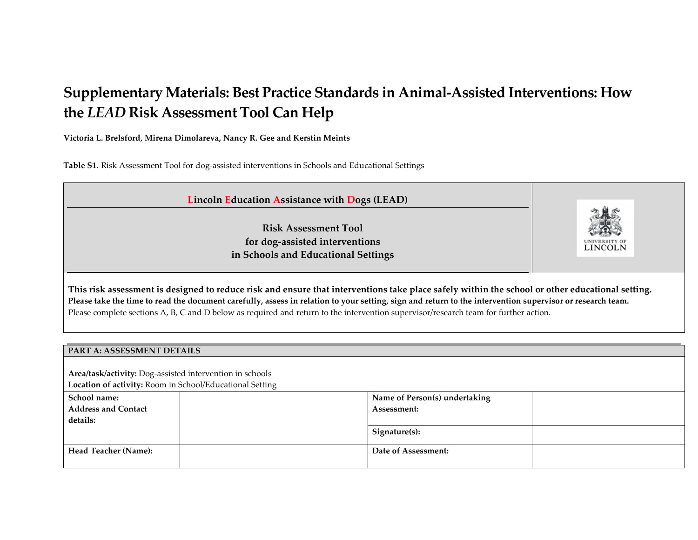# **Supplementary Materials: Best Practice Standards in Animal-Assisted Interventions: How the** *LEAD* **Risk Assessment Tool Can Help**

**Victoria L. Brelsford, Mirena Dimolareva, Nancy R. Gee and Kerstin Meints**

**Table S1**. Risk Assessment Tool for dog-assisted interventions in Schools and Educational Settings

| <b>Lincoln Education Assistance with Dogs (LEAD)</b>                                                                                                                                                                                                                                                                                                                                                                                                 |         |  |  |  |  |  |
|------------------------------------------------------------------------------------------------------------------------------------------------------------------------------------------------------------------------------------------------------------------------------------------------------------------------------------------------------------------------------------------------------------------------------------------------------|---------|--|--|--|--|--|
| <b>Risk Assessment Tool</b><br>for dog-assisted interventions<br>in Schools and Educational Settings                                                                                                                                                                                                                                                                                                                                                 | LINCOLN |  |  |  |  |  |
| This risk assessment is designed to reduce risk and ensure that interventions take place safely within the school or other educational setting.<br>Please take the time to read the document carefully, assess in relation to your setting, sign and return to the intervention supervisor or research team.<br>Please complete sections A, B, C and D below as required and return to the intervention supervisor/research team for further action. |         |  |  |  |  |  |
| PART A: ASSESSMENT DETAILS                                                                                                                                                                                                                                                                                                                                                                                                                           |         |  |  |  |  |  |
|                                                                                                                                                                                                                                                                                                                                                                                                                                                      |         |  |  |  |  |  |
| Area/task/activity: Dog-assisted intervention in schools                                                                                                                                                                                                                                                                                                                                                                                             |         |  |  |  |  |  |
| Location of activity: Room in School/Educational Setting                                                                                                                                                                                                                                                                                                                                                                                             |         |  |  |  |  |  |

| School name:                | Name of Person(s) undertaking |
|-----------------------------|-------------------------------|
| <b>Address and Contact</b>  | Assessment:                   |
| details:                    |                               |
|                             | Signature(s):                 |
|                             |                               |
| <b>Head Teacher (Name):</b> | Date of Assessment:           |
|                             |                               |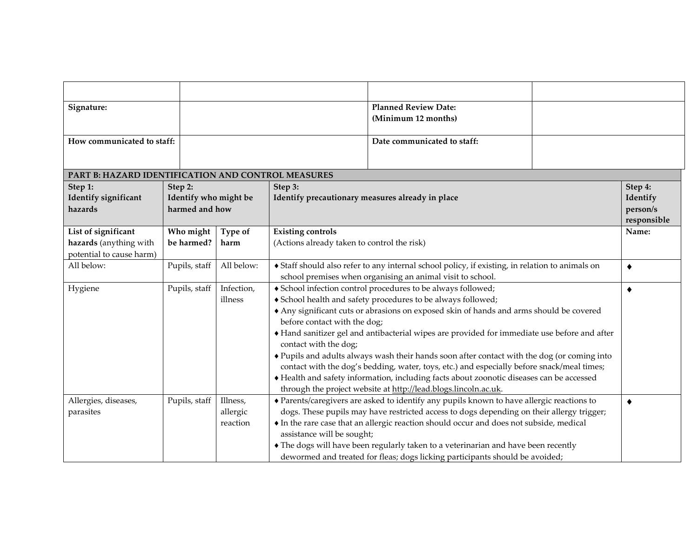| Signature:                                         |                       |            |                                                                                               | <b>Planned Review Date:</b>                                                                                              |  |                         |  |
|----------------------------------------------------|-----------------------|------------|-----------------------------------------------------------------------------------------------|--------------------------------------------------------------------------------------------------------------------------|--|-------------------------|--|
|                                                    |                       |            |                                                                                               | (Minimum 12 months)                                                                                                      |  |                         |  |
| How communicated to staff:                         |                       |            |                                                                                               | Date communicated to staff:                                                                                              |  |                         |  |
|                                                    |                       |            |                                                                                               |                                                                                                                          |  |                         |  |
| PART B: HAZARD IDENTIFICATION AND CONTROL MEASURES |                       |            |                                                                                               |                                                                                                                          |  |                         |  |
| Step 1:                                            | Step 2:               |            | Step 3:                                                                                       |                                                                                                                          |  | Step 4:                 |  |
| Identify significant                               | Identify who might be |            | Identify precautionary measures already in place                                              |                                                                                                                          |  | Identify                |  |
| hazards                                            | harmed and how        |            |                                                                                               |                                                                                                                          |  | person/s<br>responsible |  |
| List of significant                                | Who might             | Type of    | <b>Existing controls</b>                                                                      |                                                                                                                          |  | Name:                   |  |
| hazards (anything with                             | be harmed?            | harm       | (Actions already taken to control the risk)                                                   |                                                                                                                          |  |                         |  |
| potential to cause harm)                           |                       |            |                                                                                               |                                                                                                                          |  |                         |  |
| All below:                                         | Pupils, staff         | All below: | Staff should also refer to any internal school policy, if existing, in relation to animals on |                                                                                                                          |  |                         |  |
| Hygiene                                            | Pupils, staff         | Infection, |                                                                                               | school premises when organising an animal visit to school.<br>School infection control procedures to be always followed; |  |                         |  |
|                                                    |                       | illness    |                                                                                               | School health and safety procedures to be always followed;                                                               |  | $\blacklozenge$         |  |
|                                                    |                       |            |                                                                                               | Any significant cuts or abrasions on exposed skin of hands and arms should be covered                                    |  |                         |  |
|                                                    |                       |            | before contact with the dog;                                                                  |                                                                                                                          |  |                         |  |
|                                                    |                       |            |                                                                                               | Hand sanitizer gel and antibacterial wipes are provided for immediate use before and after                               |  |                         |  |
|                                                    |                       |            | contact with the dog;                                                                         |                                                                                                                          |  |                         |  |
|                                                    |                       |            |                                                                                               | ◆ Pupils and adults always wash their hands soon after contact with the dog (or coming into                              |  |                         |  |
|                                                    |                       |            |                                                                                               | contact with the dog's bedding, water, toys, etc.) and especially before snack/meal times;                               |  |                         |  |
|                                                    |                       |            | Health and safety information, including facts about zoonotic diseases can be accessed        |                                                                                                                          |  |                         |  |
|                                                    |                       |            |                                                                                               | through the project website at http://lead.blogs.lincoln.ac.uk.                                                          |  |                         |  |
| Allergies, diseases,                               | Pupils, staff         | Illness,   |                                                                                               | • Parents/caregivers are asked to identify any pupils known to have allergic reactions to                                |  | ٠                       |  |
| parasites                                          |                       | allergic   |                                                                                               | dogs. These pupils may have restricted access to dogs depending on their allergy trigger;                                |  |                         |  |
|                                                    |                       | reaction   |                                                                                               | • In the rare case that an allergic reaction should occur and does not subside, medical                                  |  |                         |  |
|                                                    |                       |            | assistance will be sought;                                                                    |                                                                                                                          |  |                         |  |
|                                                    |                       |            |                                                                                               | • The dogs will have been regularly taken to a veterinarian and have been recently                                       |  |                         |  |
|                                                    |                       |            | dewormed and treated for fleas; dogs licking participants should be avoided;                  |                                                                                                                          |  |                         |  |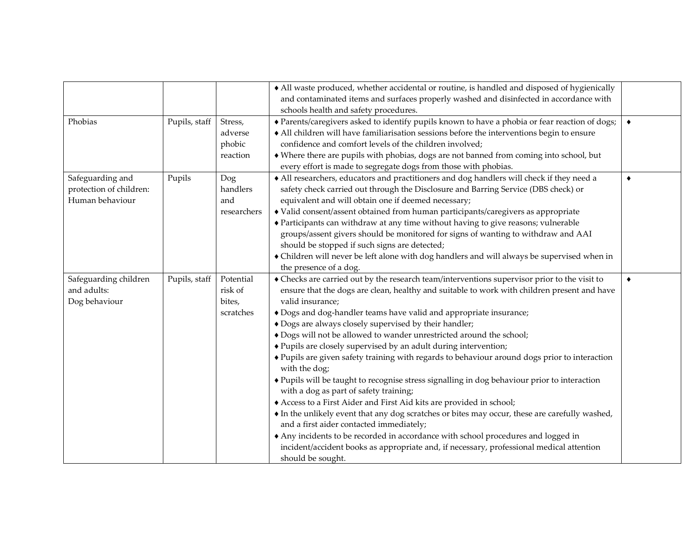|                                                                |               |                                             | • All waste produced, whether accidental or routine, is handled and disposed of hygienically<br>and contaminated items and surfaces properly washed and disinfected in accordance with<br>schools health and safety procedures.                                                                                                                                                                                                                                                                                                                                                                                                                                                                                                                                                                                                                                                                                                                                                                                                                                                                                                                                                 |                 |
|----------------------------------------------------------------|---------------|---------------------------------------------|---------------------------------------------------------------------------------------------------------------------------------------------------------------------------------------------------------------------------------------------------------------------------------------------------------------------------------------------------------------------------------------------------------------------------------------------------------------------------------------------------------------------------------------------------------------------------------------------------------------------------------------------------------------------------------------------------------------------------------------------------------------------------------------------------------------------------------------------------------------------------------------------------------------------------------------------------------------------------------------------------------------------------------------------------------------------------------------------------------------------------------------------------------------------------------|-----------------|
| Phobias                                                        | Pupils, staff | Stress,<br>adverse<br>phobic<br>reaction    | • Parents/caregivers asked to identify pupils known to have a phobia or fear reaction of dogs;<br>• All children will have familiarisation sessions before the interventions begin to ensure<br>confidence and comfort levels of the children involved;<br>• Where there are pupils with phobias, dogs are not banned from coming into school, but<br>every effort is made to segregate dogs from those with phobias.                                                                                                                                                                                                                                                                                                                                                                                                                                                                                                                                                                                                                                                                                                                                                           | $\blacklozenge$ |
| Safeguarding and<br>protection of children:<br>Human behaviour | Pupils        | Dog<br>handlers<br>and<br>researchers       | • All researchers, educators and practitioners and dog handlers will check if they need a<br>safety check carried out through the Disclosure and Barring Service (DBS check) or<br>equivalent and will obtain one if deemed necessary;<br>• Valid consent/assent obtained from human participants/caregivers as appropriate<br>• Participants can withdraw at any time without having to give reasons; vulnerable<br>groups/assent givers should be monitored for signs of wanting to withdraw and AAI<br>should be stopped if such signs are detected;<br>• Children will never be left alone with dog handlers and will always be supervised when in<br>the presence of a dog.                                                                                                                                                                                                                                                                                                                                                                                                                                                                                                | $\bullet$       |
| Safeguarding children<br>and adults:<br>Dog behaviour          | Pupils, staff | Potential<br>risk of<br>bites,<br>scratches | • Checks are carried out by the research team/interventions supervisor prior to the visit to<br>ensure that the dogs are clean, healthy and suitable to work with children present and have<br>valid insurance;<br>• Dogs and dog-handler teams have valid and appropriate insurance;<br>+ Dogs are always closely supervised by their handler;<br>• Dogs will not be allowed to wander unrestricted around the school;<br>◆ Pupils are closely supervised by an adult during intervention;<br>• Pupils are given safety training with regards to behaviour around dogs prior to interaction<br>with the dog;<br>• Pupils will be taught to recognise stress signalling in dog behaviour prior to interaction<br>with a dog as part of safety training;<br>Access to a First Aider and First Aid kits are provided in school;<br>• In the unlikely event that any dog scratches or bites may occur, these are carefully washed,<br>and a first aider contacted immediately;<br>Any incidents to be recorded in accordance with school procedures and logged in<br>incident/accident books as appropriate and, if necessary, professional medical attention<br>should be sought. | $\blacklozenge$ |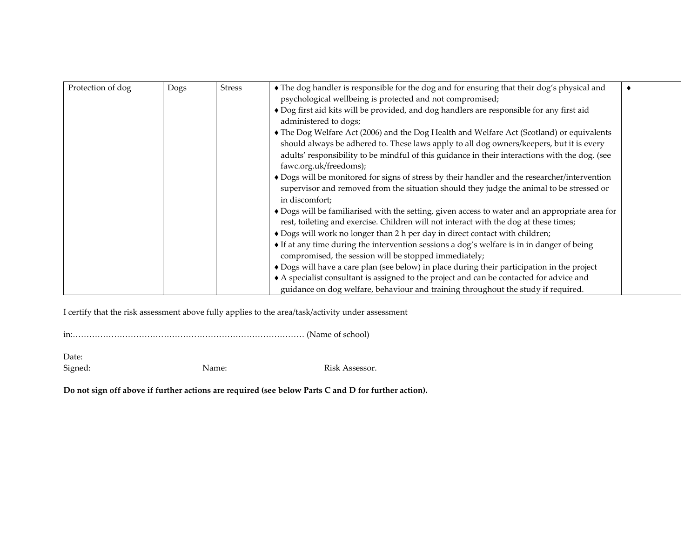| Protection of dog | Dogs | <b>Stress</b> | • The dog handler is responsible for the dog and for ensuring that their dog's physical and     |  |
|-------------------|------|---------------|-------------------------------------------------------------------------------------------------|--|
|                   |      |               | psychological wellbeing is protected and not compromised;                                       |  |
|                   |      |               | • Dog first aid kits will be provided, and dog handlers are responsible for any first aid       |  |
|                   |      |               | administered to dogs;                                                                           |  |
|                   |      |               | • The Dog Welfare Act (2006) and the Dog Health and Welfare Act (Scotland) or equivalents       |  |
|                   |      |               | should always be adhered to. These laws apply to all dog owners/keepers, but it is every        |  |
|                   |      |               | adults' responsibility to be mindful of this guidance in their interactions with the dog. (see  |  |
|                   |      |               | fawc.org.uk/freedoms);                                                                          |  |
|                   |      |               | • Dogs will be monitored for signs of stress by their handler and the researcher/intervention   |  |
|                   |      |               | supervisor and removed from the situation should they judge the animal to be stressed or        |  |
|                   |      |               | in discomfort;                                                                                  |  |
|                   |      |               | • Dogs will be familiarised with the setting, given access to water and an appropriate area for |  |
|                   |      |               | rest, toileting and exercise. Children will not interact with the dog at these times;           |  |
|                   |      |               | • Dogs will work no longer than 2 h per day in direct contact with children;                    |  |
|                   |      |               | • If at any time during the intervention sessions a dog's welfare is in in danger of being      |  |
|                   |      |               | compromised, the session will be stopped immediately;                                           |  |
|                   |      |               | • Dogs will have a care plan (see below) in place during their participation in the project     |  |
|                   |      |               | A specialist consultant is assigned to the project and can be contacted for advice and          |  |
|                   |      |               | guidance on dog welfare, behaviour and training throughout the study if required.               |  |

I certify that the risk assessment above fully applies to the area/task/activity under assessment

in:………………………………………………………………………… (Name of school)

Date:

Signed: Name: Name: Risk Assessor.

**Do not sign off above if further actions are required (see below Parts C and D for further action).**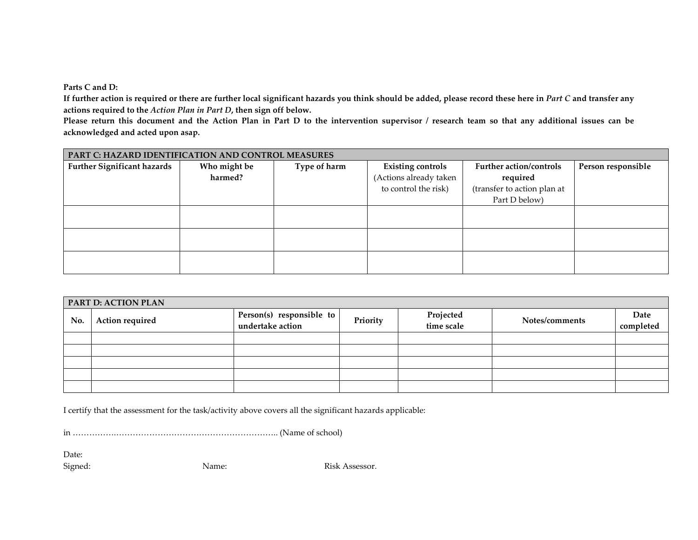**Parts C and D:**

**If further action is required or there are further local significant hazards you think should be added, please record these here in** *Part C* **and transfer any actions required to the** *Action Plan in Part D***, then sign off below.**

**Please return this document and the Action Plan in Part D to the intervention supervisor / research team so that any additional issues can be acknowledged and acted upon asap.**

| PART C: HAZARD IDENTIFICATION AND CONTROL MEASURES |              |              |                          |                             |                    |  |  |  |
|----------------------------------------------------|--------------|--------------|--------------------------|-----------------------------|--------------------|--|--|--|
| <b>Further Significant hazards</b>                 | Who might be | Type of harm | <b>Existing controls</b> | Further action/controls     | Person responsible |  |  |  |
|                                                    | harmed?      |              | (Actions already taken   | required                    |                    |  |  |  |
|                                                    |              |              | to control the risk)     | (transfer to action plan at |                    |  |  |  |
|                                                    |              |              |                          | Part D below)               |                    |  |  |  |
|                                                    |              |              |                          |                             |                    |  |  |  |
|                                                    |              |              |                          |                             |                    |  |  |  |
|                                                    |              |              |                          |                             |                    |  |  |  |
|                                                    |              |              |                          |                             |                    |  |  |  |
|                                                    |              |              |                          |                             |                    |  |  |  |
|                                                    |              |              |                          |                             |                    |  |  |  |

|     | <b>PART D: ACTION PLAN</b> |                                              |          |                         |                |                   |  |  |  |  |
|-----|----------------------------|----------------------------------------------|----------|-------------------------|----------------|-------------------|--|--|--|--|
| No. | Action required            | Person(s) responsible to<br>undertake action | Priority | Projected<br>time scale | Notes/comments | Date<br>completed |  |  |  |  |
|     |                            |                                              |          |                         |                |                   |  |  |  |  |
|     |                            |                                              |          |                         |                |                   |  |  |  |  |
|     |                            |                                              |          |                         |                |                   |  |  |  |  |
|     |                            |                                              |          |                         |                |                   |  |  |  |  |
|     |                            |                                              |          |                         |                |                   |  |  |  |  |

I certify that the assessment for the task/activity above covers all the significant hazards applicable:

in …………….………………………………………………….. (Name of school)

Date:

Signed: Name: Name: Risk Assessor.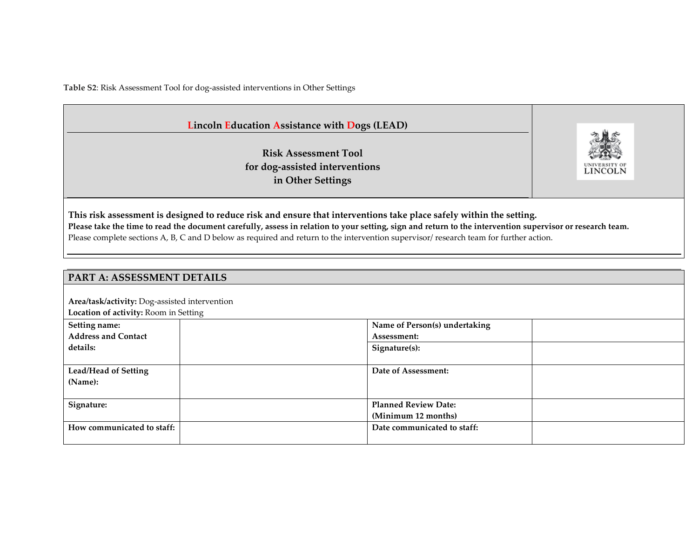**Table S2**: Risk Assessment Tool for dog-assisted interventions in Other Settings

## **Lincoln Education Assistance with Dogs (LEAD)**

**Risk Assessment Tool for dog-assisted interventions in Other Settings**



**This risk assessment is designed to reduce risk and ensure that interventions take place safely within the setting. Please take the time to read the document carefully, assess in relation to your setting, sign and return to the intervention supervisor or research team.** Please complete sections A, B, C and D below as required and return to the intervention supervisor/ research team for further action.

## **PART A: ASSESSMENT DETAILS**

**Area/task/activity:** Dog-assisted intervention

**Location of activity:** Room in Setting

| Setting name:                          | Name of Person(s) undertaking                      |  |
|----------------------------------------|----------------------------------------------------|--|
| <b>Address and Contact</b>             | Assessment:                                        |  |
| details:                               | Signature(s):                                      |  |
| <b>Lead/Head of Setting</b><br>(Name): | Date of Assessment:                                |  |
| Signature:                             | <b>Planned Review Date:</b><br>(Minimum 12 months) |  |
| How communicated to staff:             | Date communicated to staff:                        |  |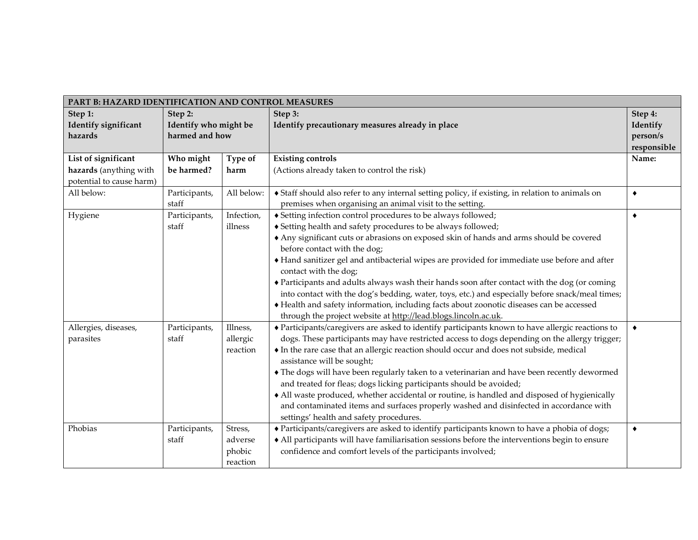| PART B: HAZARD IDENTIFICATION AND CONTROL MEASURES |                       |                                                                                                                                                                     |             |
|----------------------------------------------------|-----------------------|---------------------------------------------------------------------------------------------------------------------------------------------------------------------|-------------|
| Step 1:<br>Step 2:                                 |                       | Step 3:                                                                                                                                                             | Step 4:     |
| Identify significant                               | Identify who might be | Identify precautionary measures already in place                                                                                                                    | Identify    |
| hazards                                            | harmed and how        |                                                                                                                                                                     | person/s    |
|                                                    |                       |                                                                                                                                                                     | responsible |
| List of significant<br>Who might                   | Type of               | <b>Existing controls</b>                                                                                                                                            | Name:       |
| be harmed?<br>hazards (anything with               | harm                  | (Actions already taken to control the risk)                                                                                                                         |             |
| potential to cause harm)                           |                       |                                                                                                                                                                     |             |
| All below:<br>Participants,                        | All below:            | Staff should also refer to any internal setting policy, if existing, in relation to animals on                                                                      | ٠           |
| staff                                              |                       | premises when organising an animal visit to the setting.                                                                                                            |             |
| Hygiene<br>Participants,                           | Infection,            | ◆ Setting infection control procedures to be always followed;                                                                                                       | $\bullet$   |
| staff                                              | illness               | ◆ Setting health and safety procedures to be always followed;                                                                                                       |             |
|                                                    |                       | Any significant cuts or abrasions on exposed skin of hands and arms should be covered                                                                               |             |
|                                                    |                       | before contact with the dog;                                                                                                                                        |             |
|                                                    |                       | Hand sanitizer gel and antibacterial wipes are provided for immediate use before and after                                                                          |             |
|                                                    |                       | contact with the dog;                                                                                                                                               |             |
|                                                    |                       | • Participants and adults always wash their hands soon after contact with the dog (or coming                                                                        |             |
|                                                    |                       | into contact with the dog's bedding, water, toys, etc.) and especially before snack/meal times;                                                                     |             |
|                                                    |                       | Health and safety information, including facts about zoonotic diseases can be accessed                                                                              |             |
|                                                    | Illness,              | through the project website at http://lead.blogs.lincoln.ac.uk.<br>• Participants/caregivers are asked to identify participants known to have allergic reactions to | $\bullet$   |
| Allergies, diseases,<br>Participants,<br>staff     |                       | dogs. These participants may have restricted access to dogs depending on the allergy trigger;                                                                       |             |
| parasites                                          | allergic              |                                                                                                                                                                     |             |
|                                                    | reaction              | In the rare case that an allergic reaction should occur and does not subside, medical<br>assistance will be sought;                                                 |             |
|                                                    |                       | • The dogs will have been regularly taken to a veterinarian and have been recently dewormed                                                                         |             |
|                                                    |                       | and treated for fleas; dogs licking participants should be avoided;                                                                                                 |             |
|                                                    |                       | • All waste produced, whether accidental or routine, is handled and disposed of hygienically                                                                        |             |
|                                                    |                       | and contaminated items and surfaces properly washed and disinfected in accordance with                                                                              |             |
|                                                    |                       | settings' health and safety procedures.                                                                                                                             |             |
| Phobias<br>Participants,                           | Stress,               | • Participants/caregivers are asked to identify participants known to have a phobia of dogs;                                                                        | $\bullet$   |
| staff                                              | adverse               | • All participants will have familiarisation sessions before the interventions begin to ensure                                                                      |             |
|                                                    | phobic                | confidence and comfort levels of the participants involved;                                                                                                         |             |
|                                                    | reaction              |                                                                                                                                                                     |             |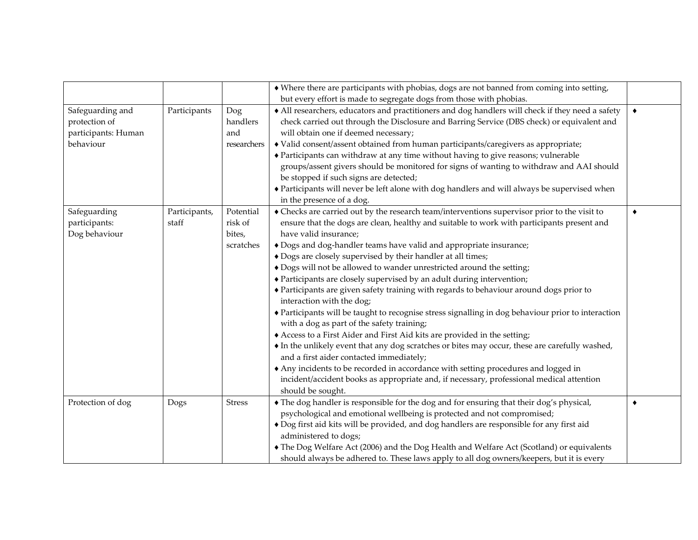|                                                                       |                        |                                             | • Where there are participants with phobias, dogs are not banned from coming into setting,<br>but every effort is made to segregate dogs from those with phobias.                                                                                                                                                                                                                                                                                                                                                                                                                                                                                                                                                                                                                                                                                                                                                                                                                                                                                                                                                                                                                                                      |           |
|-----------------------------------------------------------------------|------------------------|---------------------------------------------|------------------------------------------------------------------------------------------------------------------------------------------------------------------------------------------------------------------------------------------------------------------------------------------------------------------------------------------------------------------------------------------------------------------------------------------------------------------------------------------------------------------------------------------------------------------------------------------------------------------------------------------------------------------------------------------------------------------------------------------------------------------------------------------------------------------------------------------------------------------------------------------------------------------------------------------------------------------------------------------------------------------------------------------------------------------------------------------------------------------------------------------------------------------------------------------------------------------------|-----------|
| Safeguarding and<br>protection of<br>participants: Human<br>behaviour | Participants           | Dog<br>handlers<br>and<br>researchers       | • All researchers, educators and practitioners and dog handlers will check if they need a safety<br>check carried out through the Disclosure and Barring Service (DBS check) or equivalent and<br>will obtain one if deemed necessary;<br>• Valid consent/assent obtained from human participants/caregivers as appropriate;<br>• Participants can withdraw at any time without having to give reasons; vulnerable<br>groups/assent givers should be monitored for signs of wanting to withdraw and AAI should<br>be stopped if such signs are detected;<br>• Participants will never be left alone with dog handlers and will always be supervised when<br>in the presence of a dog.                                                                                                                                                                                                                                                                                                                                                                                                                                                                                                                                  | $\bullet$ |
| Safeguarding<br>participants:<br>Dog behaviour                        | Participants,<br>staff | Potential<br>risk of<br>bites,<br>scratches | • Checks are carried out by the research team/interventions supervisor prior to the visit to<br>ensure that the dogs are clean, healthy and suitable to work with participants present and<br>have valid insurance;<br>+ Dogs and dog-handler teams have valid and appropriate insurance;<br>• Dogs are closely supervised by their handler at all times;<br>• Dogs will not be allowed to wander unrestricted around the setting;<br>• Participants are closely supervised by an adult during intervention;<br>• Participants are given safety training with regards to behaviour around dogs prior to<br>interaction with the dog;<br>• Participants will be taught to recognise stress signalling in dog behaviour prior to interaction<br>with a dog as part of the safety training;<br>Access to a First Aider and First Aid kits are provided in the setting;<br>• In the unlikely event that any dog scratches or bites may occur, these are carefully washed,<br>and a first aider contacted immediately;<br>Any incidents to be recorded in accordance with setting procedures and logged in<br>incident/accident books as appropriate and, if necessary, professional medical attention<br>should be sought. | ٠         |
| Protection of dog                                                     | Dogs                   | <b>Stress</b>                               | • The dog handler is responsible for the dog and for ensuring that their dog's physical,<br>psychological and emotional wellbeing is protected and not compromised;<br>• Dog first aid kits will be provided, and dog handlers are responsible for any first aid<br>administered to dogs;<br>• The Dog Welfare Act (2006) and the Dog Health and Welfare Act (Scotland) or equivalents<br>should always be adhered to. These laws apply to all dog owners/keepers, but it is every                                                                                                                                                                                                                                                                                                                                                                                                                                                                                                                                                                                                                                                                                                                                     |           |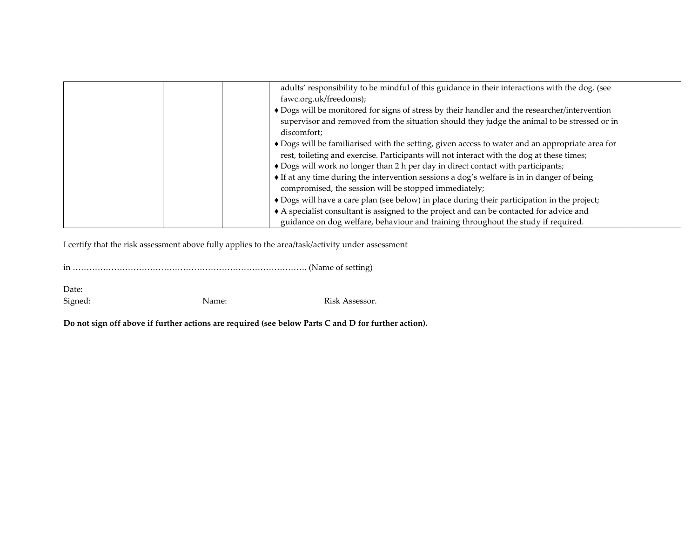| adults' responsibility to be mindful of this guidance in their interactions with the dog. (see<br>fawc.org.uk/freedoms);<br>• Dogs will be monitored for signs of stress by their handler and the researcher/intervention |  |
|---------------------------------------------------------------------------------------------------------------------------------------------------------------------------------------------------------------------------|--|
| supervisor and removed from the situation should they judge the animal to be stressed or in                                                                                                                               |  |
| discomfort;                                                                                                                                                                                                               |  |
| • Dogs will be familiarised with the setting, given access to water and an appropriate area for                                                                                                                           |  |
| rest, toileting and exercise. Participants will not interact with the dog at these times;                                                                                                                                 |  |
| • Dogs will work no longer than 2 h per day in direct contact with participants;                                                                                                                                          |  |
| • If at any time during the intervention sessions a dog's welfare is in in danger of being                                                                                                                                |  |
| compromised, the session will be stopped immediately;                                                                                                                                                                     |  |
| • Dogs will have a care plan (see below) in place during their participation in the project;                                                                                                                              |  |
| A specialist consultant is assigned to the project and can be contacted for advice and                                                                                                                                    |  |
| guidance on dog welfare, behaviour and training throughout the study if required.                                                                                                                                         |  |

I certify that the risk assessment above fully applies to the area/task/activity under assessment

in …………………………………………………………………………. (Name of setting)

Date: Signed: Name: Name: Risk Assessor.

**Do not sign off above if further actions are required (see below Parts C and D for further action).**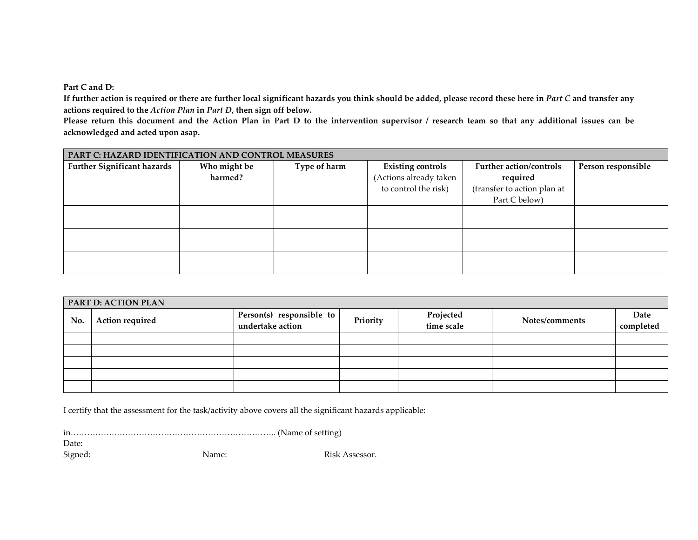**Part C and D:**

**If further action is required or there are further local significant hazards you think should be added, please record these here in** *Part C* **and transfer any actions required to the** *Action Plan* **in** *Part D***, then sign off below.**

**Please return this document and the Action Plan in Part D to the intervention supervisor / research team so that any additional issues can be acknowledged and acted upon asap.**

|                                    | PART C: HAZARD IDENTIFICATION AND CONTROL MEASURES |              |                          |                                |                    |  |  |  |  |
|------------------------------------|----------------------------------------------------|--------------|--------------------------|--------------------------------|--------------------|--|--|--|--|
| <b>Further Significant hazards</b> | Who might be                                       | Type of harm | <b>Existing controls</b> | <b>Further action/controls</b> | Person responsible |  |  |  |  |
|                                    | harmed?                                            |              | (Actions already taken   | required                       |                    |  |  |  |  |
|                                    |                                                    |              | to control the risk)     | (transfer to action plan at    |                    |  |  |  |  |
|                                    |                                                    |              |                          | Part C below)                  |                    |  |  |  |  |
|                                    |                                                    |              |                          |                                |                    |  |  |  |  |
|                                    |                                                    |              |                          |                                |                    |  |  |  |  |
|                                    |                                                    |              |                          |                                |                    |  |  |  |  |
|                                    |                                                    |              |                          |                                |                    |  |  |  |  |
|                                    |                                                    |              |                          |                                |                    |  |  |  |  |
|                                    |                                                    |              |                          |                                |                    |  |  |  |  |

| <b>PART D: ACTION PLAN</b> |                 |                                              |          |                         |                |                   |  |  |  |  |
|----------------------------|-----------------|----------------------------------------------|----------|-------------------------|----------------|-------------------|--|--|--|--|
| No.                        | Action required | Person(s) responsible to<br>undertake action | Priority | Projected<br>time scale | Notes/comments | Date<br>completed |  |  |  |  |
|                            |                 |                                              |          |                         |                |                   |  |  |  |  |
|                            |                 |                                              |          |                         |                |                   |  |  |  |  |
|                            |                 |                                              |          |                         |                |                   |  |  |  |  |
|                            |                 |                                              |          |                         |                |                   |  |  |  |  |
|                            |                 |                                              |          |                         |                |                   |  |  |  |  |

I certify that the assessment for the task/activity above covers all the significant hazards applicable:

in…………….………………………………………………….. (Name of setting)

Date:

Signed: Name: Name: Risk Assessor.